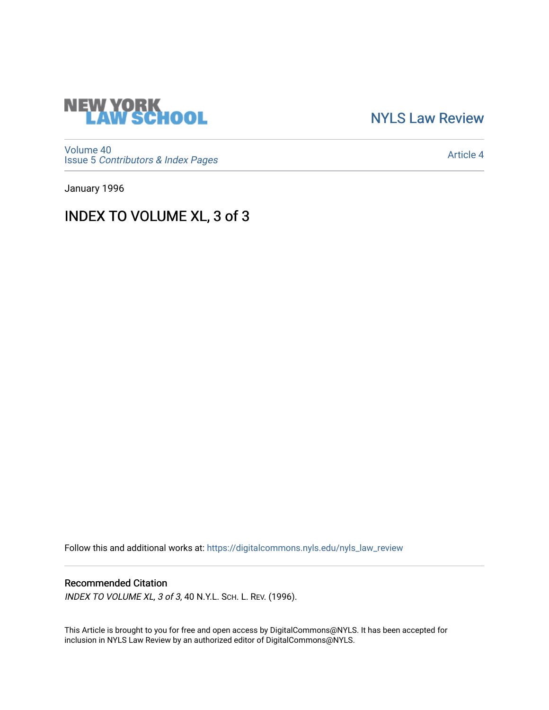

[NYLS Law Review](https://digitalcommons.nyls.edu/nyls_law_review) 

[Volume 40](https://digitalcommons.nyls.edu/nyls_law_review/vol40) Issue 5 [Contributors & Index Pages](https://digitalcommons.nyls.edu/nyls_law_review/vol40/iss5) 

[Article 4](https://digitalcommons.nyls.edu/nyls_law_review/vol40/iss5/4) 

January 1996

INDEX TO VOLUME XL, 3 of 3

Follow this and additional works at: [https://digitalcommons.nyls.edu/nyls\\_law\\_review](https://digitalcommons.nyls.edu/nyls_law_review?utm_source=digitalcommons.nyls.edu%2Fnyls_law_review%2Fvol40%2Fiss5%2F4&utm_medium=PDF&utm_campaign=PDFCoverPages) 

## Recommended Citation

INDEX TO VOLUME XL, 3 of 3, 40 N.Y.L. SCH. L. REV. (1996).

This Article is brought to you for free and open access by DigitalCommons@NYLS. It has been accepted for inclusion in NYLS Law Review by an authorized editor of DigitalCommons@NYLS.